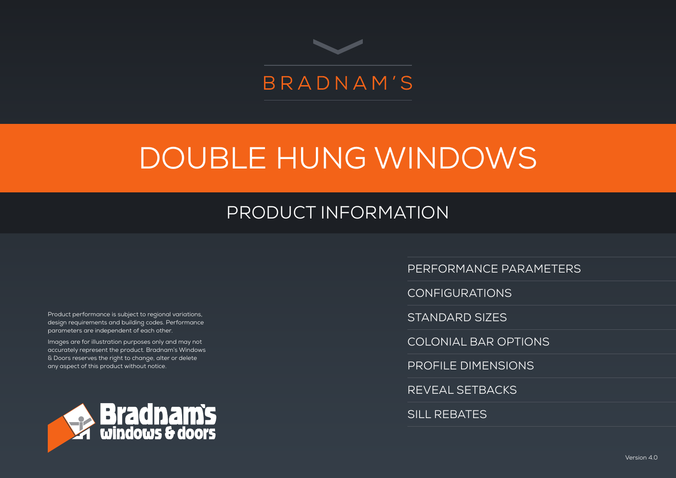

# DOUBLE HUNG WINDOWS

# PRODUCT INFORMATION

Product performance is subject to regional variations, design requirements and building codes. Performance parameters are independent of each other.

Images are for illustration purposes only and may not accurately represent the product. Bradnam's Windows & Doors reserves the right to change, alter or delete any aspect of this product without notice.



PERFORMANCE PARAMETERS

CONFIGURATIONS

STANDARD SIZES

COLONIAL BAR OPTIONS

PROFILE DIMENSIONS

REVEAL SETBACKS

SILL REBATES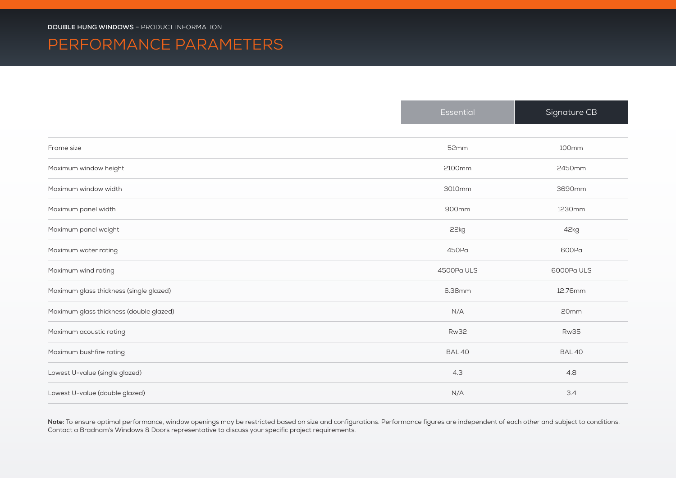### PERFORMANCE PARAMETERS

|                                         | Essential     | Signature CB                                                                                                         |  |  |  |  |
|-----------------------------------------|---------------|----------------------------------------------------------------------------------------------------------------------|--|--|--|--|
| Frame size                              | 52mm          | 100mm<br>2450mm<br>3690mm<br>1230mm<br>42kg<br>600Pa<br>6000PaULS<br>12.76mm<br>20mm<br><b>Rw35</b><br><b>BAL 40</b> |  |  |  |  |
| Maximum window height                   | 2100mm        |                                                                                                                      |  |  |  |  |
| Maximum window width                    | 3010mm        |                                                                                                                      |  |  |  |  |
| Maximum panel width                     | 900mm         |                                                                                                                      |  |  |  |  |
| Maximum panel weight                    | 22kg          |                                                                                                                      |  |  |  |  |
| Maximum water rating                    | 450Pa         |                                                                                                                      |  |  |  |  |
| Maximum wind rating                     | 4500PaULS     |                                                                                                                      |  |  |  |  |
| Maximum glass thickness (single glazed) | 6.38mm        |                                                                                                                      |  |  |  |  |
| Maximum glass thickness (double glazed) | N/A           |                                                                                                                      |  |  |  |  |
| Maximum acoustic rating                 | <b>Rw32</b>   |                                                                                                                      |  |  |  |  |
| Maximum bushfire rating                 | <b>BAL 40</b> |                                                                                                                      |  |  |  |  |
| Lowest U-value (single glazed)          | 4.3           | 4.8                                                                                                                  |  |  |  |  |
| Lowest U-value (double glazed)          | N/A           | 3.4                                                                                                                  |  |  |  |  |

**Note:** To ensure optimal performance, window openings may be restricted based on size and configurations. Performance figures are independent of each other and subject to conditions. Contact a Bradnam's Windows & Doors representative to discuss your specific project requirements.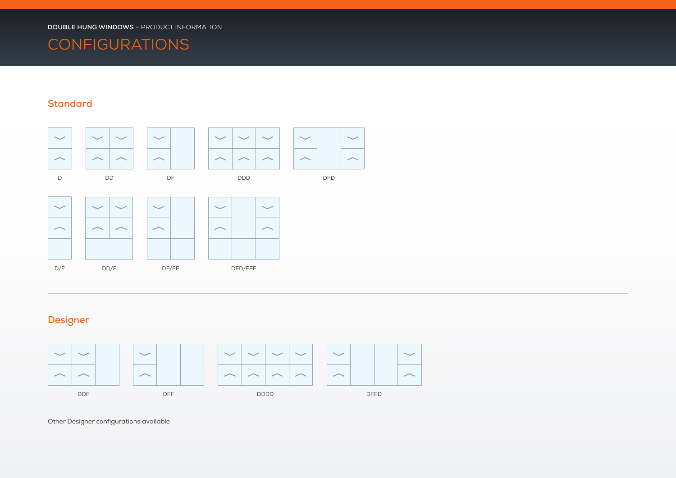# **CONFIGURATIONS**

### **Standard**



### **Designer**



Other Designer configurations available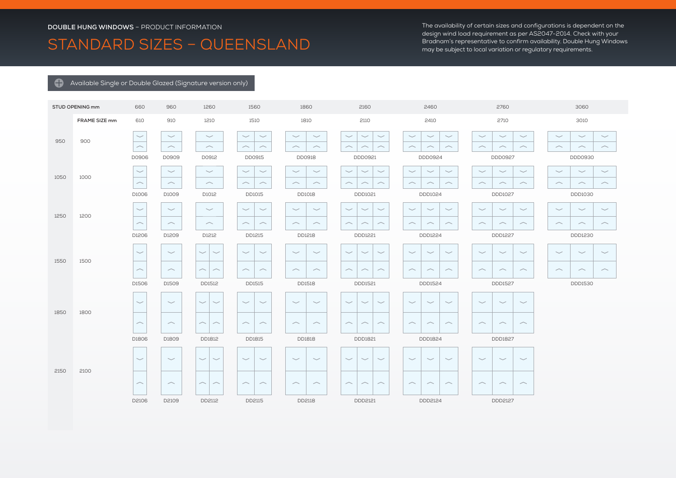### STANDARD SIZES – QUEENSLAND

The availability of certain sizes and configurations is dependent on the design wind load requirement as per AS2047-2014. Check with your Bradnam's representative to confirm availability. Double Hung Windows may be subject to local variation or regulatory requirements.

#### Available Single or Double Glazed (Signature version only)

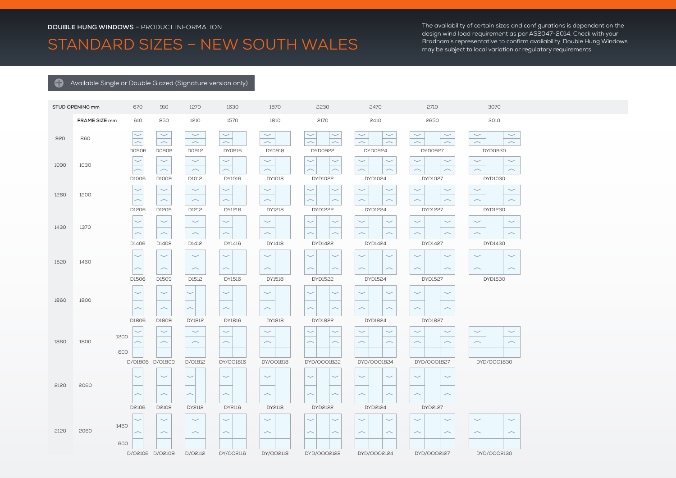### STANDARD SIZES – NEW SOUTH WALES

The availability of certain sizes and configurations is dependent on the design wind load requirement as per AS2047-2014. Check with your Bradnam's representative to confirm availability. Double Hung Windows may be subject to local variation or regulatory requirements.

#### Available Single or Double Glazed (Signature version only)

|      | STUD OPENING mm | 670                              | 910                                                           | 1270                                                                   | 1630                                        | 1870                                               | 2230               | 2470                                          | 2710                                                                  | 3070                                                                    |  |
|------|-----------------|----------------------------------|---------------------------------------------------------------|------------------------------------------------------------------------|---------------------------------------------|----------------------------------------------------|--------------------|-----------------------------------------------|-----------------------------------------------------------------------|-------------------------------------------------------------------------|--|
|      | FRAME SIZE mm   | 610                              | 850                                                           | 1210                                                                   | 1570                                        | 1810                                               | 2170               | 2410                                          | 2650                                                                  | 3010                                                                    |  |
| 920  | 860             | D0906                            | $\widetilde{\phantom{a}}$<br>$\widehat{\phantom{1}}$<br>D0909 | $\checkmark$<br>$\widehat{\phantom{m}}$<br>D0912                       | $\overline{\phantom{1}}$<br>DY0916          | $\overline{\phantom{1}}$<br>DY0918                 | DYD0922            | $\widehat{\phantom{1}}$<br>DYD0924            | $\widetilde{\phantom{a}}$<br>$\widehat{\phantom{0}}$<br>DYD0927       | $\widehat{\phantom{0}}$<br>$\widehat{\phantom{1}}$<br>DYD0930           |  |
| 1090 | 1030            | $\widehat{\phantom{0}}$<br>D1006 | $\smile$<br>$\frown$<br>D1009                                 | $\smile$<br>$\frown$<br>D1012                                          | $\widehat{\phantom{0}}$<br>DY1016           | $\widehat{\phantom{0}}$<br>DY1018                  | DYD1022            | DYD1024                                       | DYD1027                                                               | $\widehat{\phantom{0}}$<br>$\overline{\phantom{0}}$<br>DYD1030          |  |
| 1260 | 1200            | D1206                            | $\widehat{\phantom{m}}$<br>D1209                              | $\widehat{\phantom{m}}$<br>D1212                                       | $\widehat{\phantom{0}}$<br>DY1216           | $\overline{\phantom{1}}$<br>DY1218                 | DYD1222            | DYD1224                                       | DYD1227                                                               | $\widehat{\phantom{0}}$<br>DYD1230                                      |  |
| 1430 | 1370            |                                  | $\widetilde{\phantom{a}}$<br>$\widehat{\phantom{a}}$          | $\checkmark$<br>$\widehat{\phantom{0}}$                                | ∽                                           | $\overline{\phantom{1}}$                           |                    |                                               |                                                                       | $\widehat{\phantom{0}}$                                                 |  |
| 1520 | 1460            | D1406<br>D1506                   | D1409<br>$\widehat{\phantom{m}}$<br>D1509                     | D1412<br>$\widetilde{\phantom{a}}$<br>$\widehat{\phantom{m}}$<br>D1512 | DY1416<br>$\widehat{\phantom{0}}$<br>DY1516 | DY1418<br>$\widehat{\phantom{0}}$<br><b>DY1518</b> | DYD1422<br>DYD1522 | DYD1424<br>DYD1524                            | DYD1427<br>DYD1527                                                    | DYD1430<br>$\checkmark$<br>$\sim$<br>$\widehat{\phantom{0}}$<br>DYD1530 |  |
| 1860 | 1800            |                                  | $\widehat{\phantom{m}}$                                       |                                                                        |                                             | $\widehat{\phantom{0}}$                            |                    |                                               |                                                                       |                                                                         |  |
| 1860 | 1800            | D1806<br>1200<br>600             | D1809                                                         | DY1812<br>$\overline{\phantom{0}}$<br>$\widehat{\phantom{m}}$          | <b>DY1816</b>                               | <b>DY1818</b><br>$\widehat{\phantom{1}}$           | DYD1822            | DYD1824<br>$\widehat{\phantom{a}}$            | <b>DYD1827</b><br>$\widehat{\phantom{0}}$<br>╱                        | $\check{~}$<br>$\widehat{\phantom{0}}$<br>$\widehat{\phantom{a}}$       |  |
| 2120 | 2060            | D/O1806 D/O1809                  | $\widetilde{\phantom{a}}$                                     | D/01812                                                                | DY/001816                                   | DY/001818<br>$\widetilde{\phantom{a}}$             | DYD/0001822        | DYD/OO01824<br>$\widetilde{\phantom{a}}$<br>◡ | DYD/0001827<br>$\widetilde{\phantom{m}}$<br>$\widetilde{\phantom{a}}$ | DYD/0001830                                                             |  |
|      |                 | D2106                            | $\widehat{\phantom{m}}$<br>D2109                              | DY2112                                                                 | DY2116                                      | $\widehat{\phantom{0}}$<br>DY2118                  | DYD2122            | DYD2124                                       | ╱<br>DYD2127                                                          | $\checkmark$                                                            |  |
| 2120 | 2060            | 1460<br>600<br>D/O2106 D/O2109   |                                                               | $\widehat{\phantom{m}}$<br>D/02112                                     | ⌒<br>DY/002116                              | $\widehat{\phantom{0}}$<br>DY/002118               | DYD/0002122        | DYD/0002124                                   | ╱<br>DYD/0002127                                                      | $\widehat{\phantom{m}}$<br>$\widehat{\phantom{0}}$<br>DYD/0002130       |  |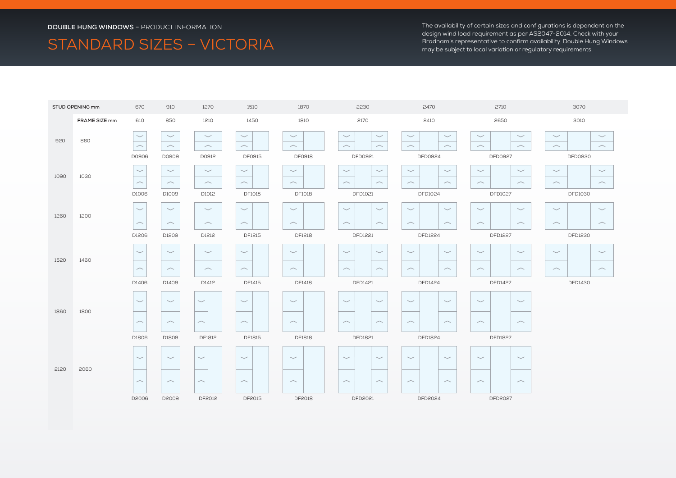## STANDARD SIZES – VICTORIA

The availability of certain sizes and configurations is dependent on the design wind load requirement as per AS2047-2014. Check with your Bradnam's representative to confirm availability. Double Hung Windows may be subject to local variation or regulatory requirements.

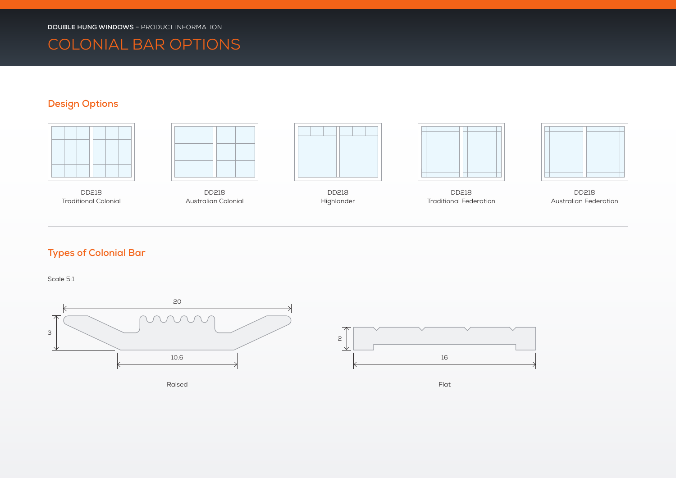# COLONIAL BAR OPTIONS

### **Design Options**



DD218 Traditional Colonial



DD218 Australian Colonial



DD218 Highlander



DD218 Traditional Federation



DD218 Australian Federation

### **Types of Colonial Bar**

Scale 5:1



Raised

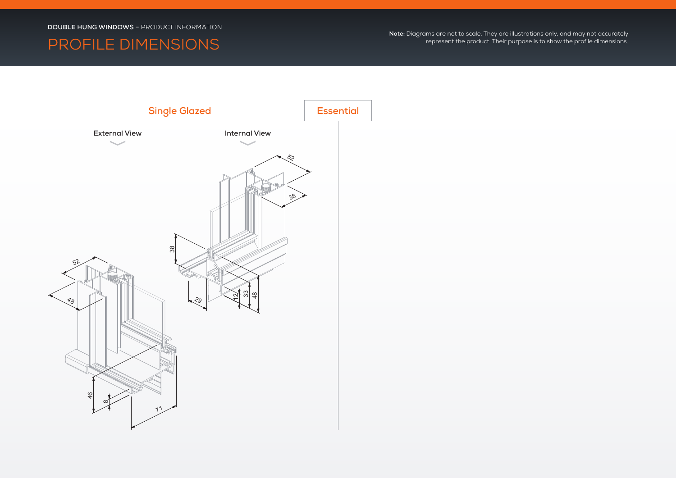## PROFILE DIMENSIONS

**Note:** Diagrams are not to scale. They are illustrations only, and may not accurately represent the product. Their purpose is to show the profile dimensions.

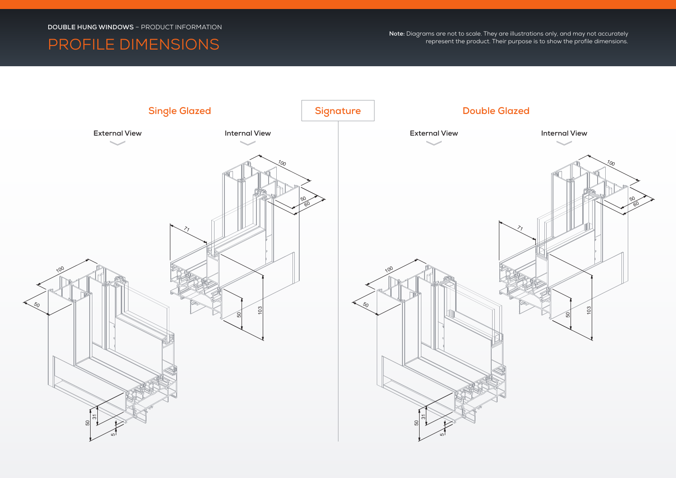### PROFILE DIMENSIONS

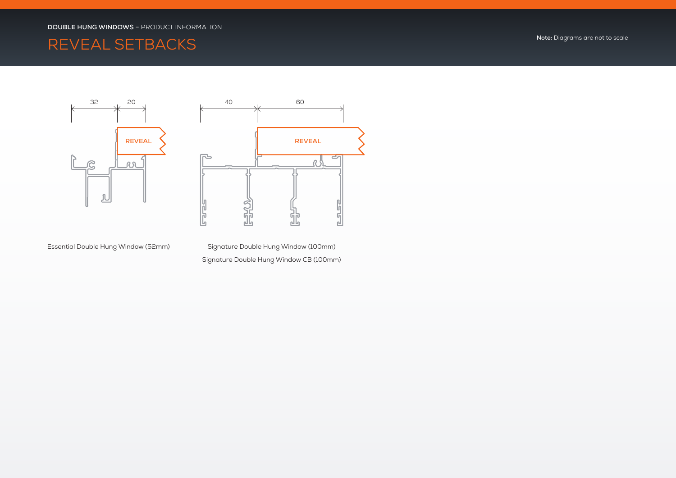# REVEAL SETBACKS **Note:** Diagrams are not to scale





Essential Double Hung Window (52mm)

**C** 

Signature Double Hung Window (100mm) Signature Double Hung Window CB (100mm)